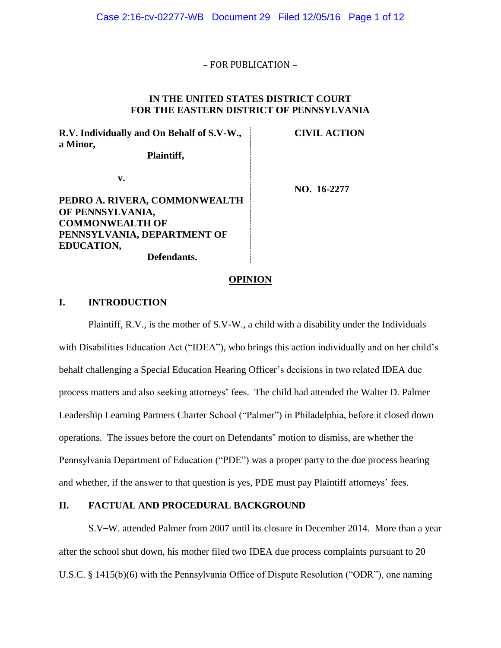## – FOR PUBLICATION –

## **IN THE UNITED STATES DISTRICT COURT FOR THE EASTERN DISTRICT OF PENNSYLVANIA**

**R.V. Individually and On Behalf of S.V-W., a Minor, Plaintiff,**

**CIVIL ACTION**

**v.**

# **PEDRO A. RIVERA, COMMONWEALTH OF PENNSYLVANIA, COMMONWEALTH OF PENNSYLVANIA, DEPARTMENT OF EDUCATION, Defendants.**

**NO. 16-2277**

#### **OPINION**

# **I. INTRODUCTION**

Plaintiff, R.V., is the mother of S.V-W., a child with a disability under the Individuals with Disabilities Education Act ("IDEA"), who brings this action individually and on her child's behalf challenging a Special Education Hearing Officer's decisions in two related IDEA due process matters and also seeking attorneys' fees. The child had attended the Walter D. Palmer Leadership Learning Partners Charter School ("Palmer") in Philadelphia, before it closed down operations. The issues before the court on Defendants' motion to dismiss, are whether the Pennsylvania Department of Education ("PDE") was a proper party to the due process hearing and whether, if the answer to that question is yes, PDE must pay Plaintiff attorneys' fees.

# **II. FACTUAL AND PROCEDURAL BACKGROUND**

S.V–W. attended Palmer from 2007 until its closure in December 2014. More than a year after the school shut down, his mother filed two IDEA due process complaints pursuant to 20 U.S.C. § 1415(b)(6) with the Pennsylvania Office of Dispute Resolution ("ODR"), one naming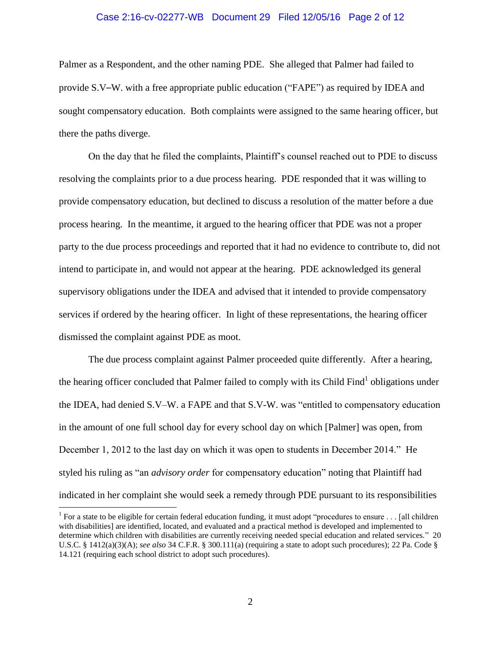#### Case 2:16-cv-02277-WB Document 29 Filed 12/05/16 Page 2 of 12

Palmer as a Respondent, and the other naming PDE. She alleged that Palmer had failed to provide S.V–W. with a free appropriate public education ("FAPE") as required by IDEA and sought compensatory education. Both complaints were assigned to the same hearing officer, but there the paths diverge.

On the day that he filed the complaints, Plaintiff's counsel reached out to PDE to discuss resolving the complaints prior to a due process hearing. PDE responded that it was willing to provide compensatory education, but declined to discuss a resolution of the matter before a due process hearing. In the meantime, it argued to the hearing officer that PDE was not a proper party to the due process proceedings and reported that it had no evidence to contribute to, did not intend to participate in, and would not appear at the hearing. PDE acknowledged its general supervisory obligations under the IDEA and advised that it intended to provide compensatory services if ordered by the hearing officer. In light of these representations, the hearing officer dismissed the complaint against PDE as moot.

The due process complaint against Palmer proceeded quite differently. After a hearing, the hearing officer concluded that Palmer failed to comply with its Child Find<sup>1</sup> obligations under the IDEA, had denied S.V–W. a FAPE and that S.V-W. was "entitled to compensatory education in the amount of one full school day for every school day on which [Palmer] was open, from December 1, 2012 to the last day on which it was open to students in December 2014." He styled his ruling as "an *advisory order* for compensatory education" noting that Plaintiff had indicated in her complaint she would seek a remedy through PDE pursuant to its responsibilities

<sup>&</sup>lt;sup>1</sup> For a state to be eligible for certain federal education funding, it must adopt "procedures to ensure  $\dots$  [all children] with disabilities] are identified, located, and evaluated and a practical method is developed and implemented to determine which children with disabilities are currently receiving needed special education and related services." 20 U.S.C. § 1412(a)(3)(A); *see also* 34 C.F.R. § 300.111(a) (requiring a state to adopt such procedures); 22 Pa. Code § 14.121 (requiring each school district to adopt such procedures).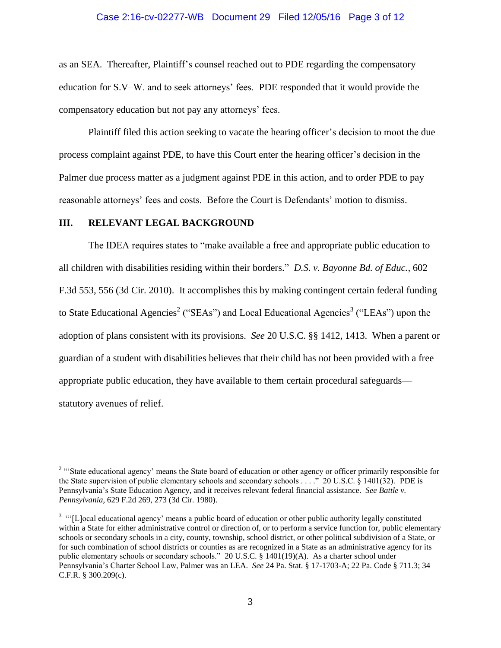#### Case 2:16-cv-02277-WB Document 29 Filed 12/05/16 Page 3 of 12

as an SEA. Thereafter, Plaintiff's counsel reached out to PDE regarding the compensatory education for S.V–W. and to seek attorneys' fees. PDE responded that it would provide the compensatory education but not pay any attorneys' fees.

Plaintiff filed this action seeking to vacate the hearing officer's decision to moot the due process complaint against PDE, to have this Court enter the hearing officer's decision in the Palmer due process matter as a judgment against PDE in this action, and to order PDE to pay reasonable attorneys' fees and costs. Before the Court is Defendants' motion to dismiss.

## **III. RELEVANT LEGAL BACKGROUND**

 $\overline{a}$ 

The IDEA requires states to "make available a free and appropriate public education to all children with disabilities residing within their borders." *D.S. v. Bayonne Bd. of Educ.*, 602 F.3d 553, 556 (3d Cir. 2010). It accomplishes this by making contingent certain federal funding to State Educational Agencies<sup>2</sup> ("SEAs") and Local Educational Agencies<sup>3</sup> ("LEAs") upon the adoption of plans consistent with its provisions. *See* 20 U.S.C. §§ 1412, 1413. When a parent or guardian of a student with disabilities believes that their child has not been provided with a free appropriate public education, they have available to them certain procedural safeguards statutory avenues of relief.

<sup>&</sup>lt;sup>2</sup> "State educational agency' means the State board of education or other agency or officer primarily responsible for the State supervision of public elementary schools and secondary schools . . . ." 20 U.S.C. § 1401(32). PDE is Pennsylvania's State Education Agency, and it receives relevant federal financial assistance. *See Battle v. Pennsylvania*, 629 F.2d 269, 273 (3d Cir. 1980).

 $3$  "[L]ocal educational agency' means a public board of education or other public authority legally constituted within a State for either administrative control or direction of, or to perform a service function for, public elementary schools or secondary schools in a city, county, township, school district, or other political subdivision of a State, or for such combination of school districts or counties as are recognized in a State as an administrative agency for its public elementary schools or secondary schools." 20 U.S.C. § 1401(19)(A). As a charter school under Pennsylvania's Charter School Law, Palmer was an LEA. *See* 24 Pa. Stat. § 17-1703-A; 22 Pa. Code § 711.3; 34 C.F.R. § 300.209(c).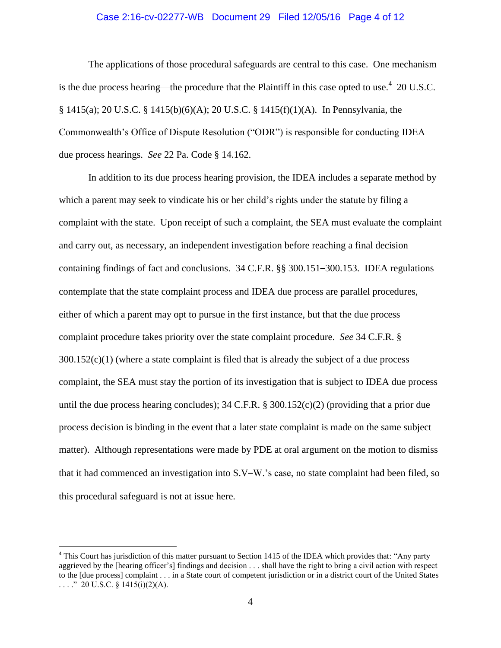#### Case 2:16-cv-02277-WB Document 29 Filed 12/05/16 Page 4 of 12

The applications of those procedural safeguards are central to this case. One mechanism is the due process hearing—the procedure that the Plaintiff in this case opted to use.<sup>4</sup> 20 U.S.C. § 1415(a); 20 U.S.C. § 1415(b)(6)(A); 20 U.S.C. § 1415(f)(1)(A). In Pennsylvania, the Commonwealth's Office of Dispute Resolution ("ODR") is responsible for conducting IDEA due process hearings. *See* 22 Pa. Code § 14.162.

In addition to its due process hearing provision, the IDEA includes a separate method by which a parent may seek to vindicate his or her child's rights under the statute by filing a complaint with the state. Upon receipt of such a complaint, the SEA must evaluate the complaint and carry out, as necessary, an independent investigation before reaching a final decision containing findings of fact and conclusions. 34 C.F.R. §§ 300.151–300.153. IDEA regulations contemplate that the state complaint process and IDEA due process are parallel procedures, either of which a parent may opt to pursue in the first instance, but that the due process complaint procedure takes priority over the state complaint procedure. *See* 34 C.F.R. § 300.152(c)(1) (where a state complaint is filed that is already the subject of a due process complaint, the SEA must stay the portion of its investigation that is subject to IDEA due process until the due process hearing concludes); 34 C.F.R. § 300.152(c)(2) (providing that a prior due process decision is binding in the event that a later state complaint is made on the same subject matter). Although representations were made by PDE at oral argument on the motion to dismiss that it had commenced an investigation into S.V–W.'s case, no state complaint had been filed, so this procedural safeguard is not at issue here.

<sup>&</sup>lt;sup>4</sup> This Court has jurisdiction of this matter pursuant to Section 1415 of the IDEA which provides that: "Any party aggrieved by the [hearing officer's] findings and decision . . . shall have the right to bring a civil action with respect to the [due process] complaint . . . in a State court of competent jurisdiction or in a district court of the United States ...." 20 U.S.C. § 1415(i)(2)(A).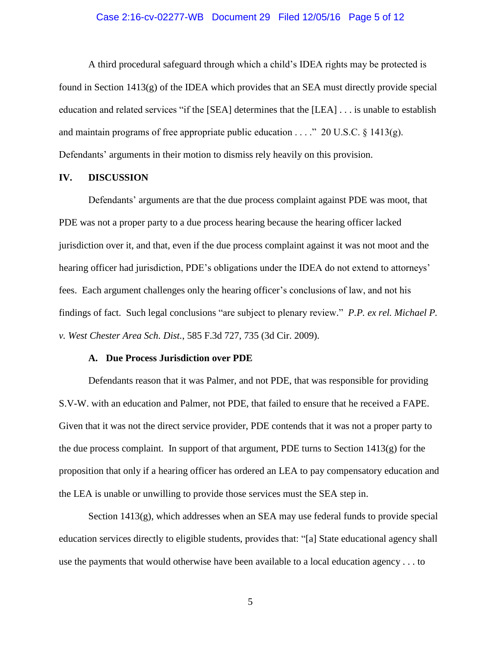## Case 2:16-cv-02277-WB Document 29 Filed 12/05/16 Page 5 of 12

A third procedural safeguard through which a child's IDEA rights may be protected is found in Section 1413(g) of the IDEA which provides that an SEA must directly provide special education and related services "if the [SEA] determines that the [LEA] . . . is unable to establish and maintain programs of free appropriate public education . . . ." 20 U.S.C.  $\S$  1413(g). Defendants' arguments in their motion to dismiss rely heavily on this provision.

#### **IV. DISCUSSION**

Defendants' arguments are that the due process complaint against PDE was moot, that PDE was not a proper party to a due process hearing because the hearing officer lacked jurisdiction over it, and that, even if the due process complaint against it was not moot and the hearing officer had jurisdiction, PDE's obligations under the IDEA do not extend to attorneys' fees. Each argument challenges only the hearing officer's conclusions of law, and not his findings of fact. Such legal conclusions "are subject to plenary review." *P.P. ex rel. Michael P. v. West Chester Area Sch. Dist.*, 585 F.3d 727, 735 (3d Cir. 2009).

## **A. Due Process Jurisdiction over PDE**

Defendants reason that it was Palmer, and not PDE, that was responsible for providing S.V-W. with an education and Palmer, not PDE, that failed to ensure that he received a FAPE. Given that it was not the direct service provider, PDE contends that it was not a proper party to the due process complaint. In support of that argument, PDE turns to Section  $1413(g)$  for the proposition that only if a hearing officer has ordered an LEA to pay compensatory education and the LEA is unable or unwilling to provide those services must the SEA step in.

Section  $1413(g)$ , which addresses when an SEA may use federal funds to provide special education services directly to eligible students, provides that: "[a] State educational agency shall use the payments that would otherwise have been available to a local education agency . . . to

5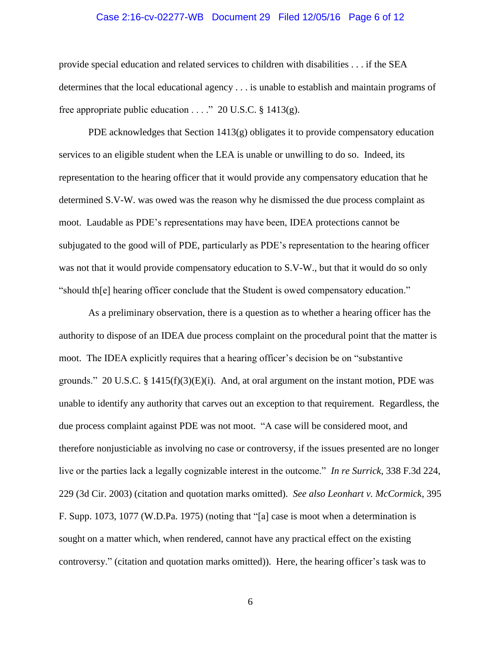## Case 2:16-cv-02277-WB Document 29 Filed 12/05/16 Page 6 of 12

provide special education and related services to children with disabilities . . . if the SEA determines that the local educational agency . . . is unable to establish and maintain programs of free appropriate public education . . . ." 20 U.S.C. § 1413(g).

PDE acknowledges that Section 1413(g) obligates it to provide compensatory education services to an eligible student when the LEA is unable or unwilling to do so. Indeed, its representation to the hearing officer that it would provide any compensatory education that he determined S.V-W. was owed was the reason why he dismissed the due process complaint as moot. Laudable as PDE's representations may have been, IDEA protections cannot be subjugated to the good will of PDE, particularly as PDE's representation to the hearing officer was not that it would provide compensatory education to S.V-W., but that it would do so only "should th[e] hearing officer conclude that the Student is owed compensatory education."

As a preliminary observation, there is a question as to whether a hearing officer has the authority to dispose of an IDEA due process complaint on the procedural point that the matter is moot. The IDEA explicitly requires that a hearing officer's decision be on "substantive grounds." 20 U.S.C. § 1415(f)(3)(E)(i). And, at oral argument on the instant motion, PDE was unable to identify any authority that carves out an exception to that requirement. Regardless, the due process complaint against PDE was not moot. "A case will be considered moot, and therefore nonjusticiable as involving no case or controversy, if the issues presented are no longer live or the parties lack a legally cognizable interest in the outcome." *In re Surrick*, 338 F.3d 224, 229 (3d Cir. 2003) (citation and quotation marks omitted). *See also Leonhart v. McCormick*, 395 F. Supp. 1073, 1077 (W.D.Pa. 1975) (noting that "[a] case is moot when a determination is sought on a matter which, when rendered, cannot have any practical effect on the existing controversy." (citation and quotation marks omitted)). Here, the hearing officer's task was to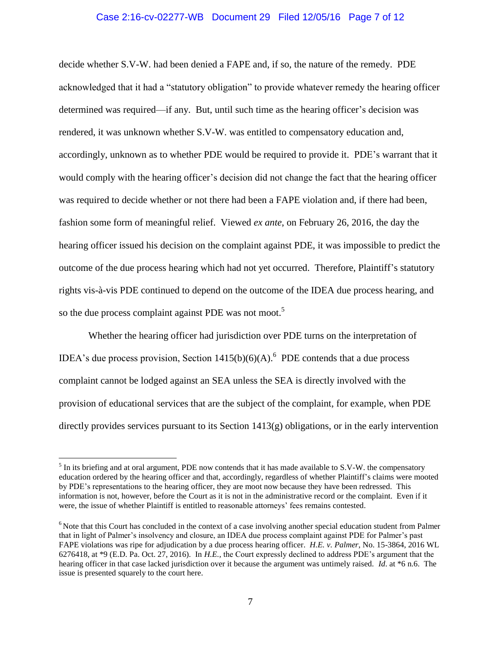#### Case 2:16-cv-02277-WB Document 29 Filed 12/05/16 Page 7 of 12

decide whether S.V-W. had been denied a FAPE and, if so, the nature of the remedy. PDE acknowledged that it had a "statutory obligation" to provide whatever remedy the hearing officer determined was required—if any. But, until such time as the hearing officer's decision was rendered, it was unknown whether S.V-W. was entitled to compensatory education and, accordingly, unknown as to whether PDE would be required to provide it. PDE's warrant that it would comply with the hearing officer's decision did not change the fact that the hearing officer was required to decide whether or not there had been a FAPE violation and, if there had been, fashion some form of meaningful relief. Viewed *ex ante*, on February 26, 2016, the day the hearing officer issued his decision on the complaint against PDE, it was impossible to predict the outcome of the due process hearing which had not yet occurred. Therefore, Plaintiff's statutory rights vis-à-vis PDE continued to depend on the outcome of the IDEA due process hearing, and so the due process complaint against PDE was not moot.<sup>5</sup>

Whether the hearing officer had jurisdiction over PDE turns on the interpretation of IDEA's due process provision, Section  $1415(b)(6)(A)$ .<sup>6</sup> PDE contends that a due process complaint cannot be lodged against an SEA unless the SEA is directly involved with the provision of educational services that are the subject of the complaint, for example, when PDE directly provides services pursuant to its Section 1413(g) obligations, or in the early intervention

<sup>&</sup>lt;sup>5</sup> In its briefing and at oral argument, PDE now contends that it has made available to S.V-W. the compensatory education ordered by the hearing officer and that, accordingly, regardless of whether Plaintiff's claims were mooted by PDE's representations to the hearing officer, they are moot now because they have been redressed. This information is not, however, before the Court as it is not in the administrative record or the complaint. Even if it were, the issue of whether Plaintiff is entitled to reasonable attorneys' fees remains contested.

<sup>&</sup>lt;sup>6</sup> Note that this Court has concluded in the context of a case involving another special education student from Palmer that in light of Palmer's insolvency and closure, an IDEA due process complaint against PDE for Palmer's past FAPE violations was ripe for adjudication by a due process hearing officer. *H.E. v. Palmer*, No. 15-3864, 2016 WL 6276418, at \*9 (E.D. Pa. Oct. 27, 2016). In *H.E.,* the Court expressly declined to address PDE's argument that the hearing officer in that case lacked jurisdiction over it because the argument was untimely raised. *Id*. at \*6 n.6. The issue is presented squarely to the court here.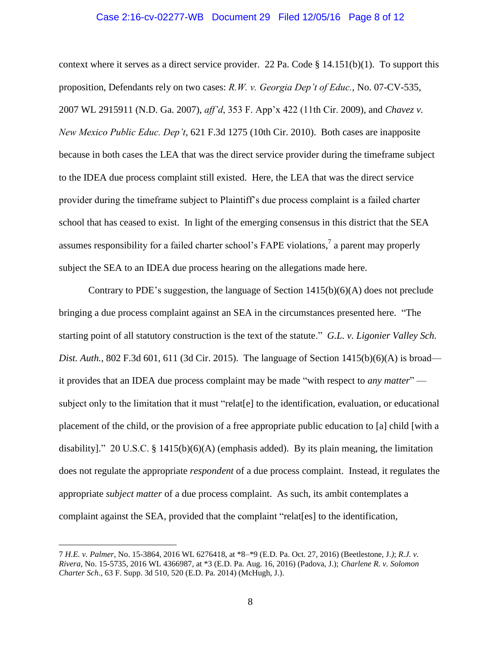#### Case 2:16-cv-02277-WB Document 29 Filed 12/05/16 Page 8 of 12

context where it serves as a direct service provider. 22 Pa. Code  $\S$  14.151(b)(1). To support this proposition, Defendants rely on two cases: *R.W. v. Georgia Dep't of Educ.*, No. 07-CV-535, 2007 WL 2915911 (N.D. Ga. 2007), *aff'd*, 353 F. App'x 422 (11th Cir. 2009), and *Chavez v. New Mexico Public Educ. Dep't*, 621 F.3d 1275 (10th Cir. 2010). Both cases are inapposite because in both cases the LEA that was the direct service provider during the timeframe subject to the IDEA due process complaint still existed. Here, the LEA that was the direct service provider during the timeframe subject to Plaintiff's due process complaint is a failed charter school that has ceased to exist. In light of the emerging consensus in this district that the SEA assumes responsibility for a failed charter school's FAPE violations,<sup>7</sup> a parent may properly subject the SEA to an IDEA due process hearing on the allegations made here.

Contrary to PDE's suggestion, the language of Section 1415(b)(6)(A) does not preclude bringing a due process complaint against an SEA in the circumstances presented here. "The starting point of all statutory construction is the text of the statute." *G.L. v. Ligonier Valley Sch. Dist. Auth.*, 802 F.3d 601, 611 (3d Cir. 2015). The language of Section 1415(b)(6)(A) is broad it provides that an IDEA due process complaint may be made "with respect to *any matter*" subject only to the limitation that it must "relat[e] to the identification, evaluation, or educational placement of the child, or the provision of a free appropriate public education to [a] child [with a disability]." 20 U.S.C. § 1415(b)(6)(A) (emphasis added). By its plain meaning, the limitation does not regulate the appropriate *respondent* of a due process complaint. Instead, it regulates the appropriate *subject matter* of a due process complaint. As such, its ambit contemplates a complaint against the SEA, provided that the complaint "relat[es] to the identification,

<sup>7</sup> *H.E. v. Palmer*, No. 15-3864, 2016 WL 6276418, at \*8–\*9 (E.D. Pa. Oct. 27, 2016) (Beetlestone, J*.)*; *R.J. v. Rivera*, No. 15-5735, 2016 WL 4366987, at \*3 (E.D. Pa. Aug. 16, 2016) (Padova, J.); *Charlene R. v. Solomon Charter Sch*., 63 F. Supp. 3d 510, 520 (E.D. Pa. 2014) (McHugh, J.).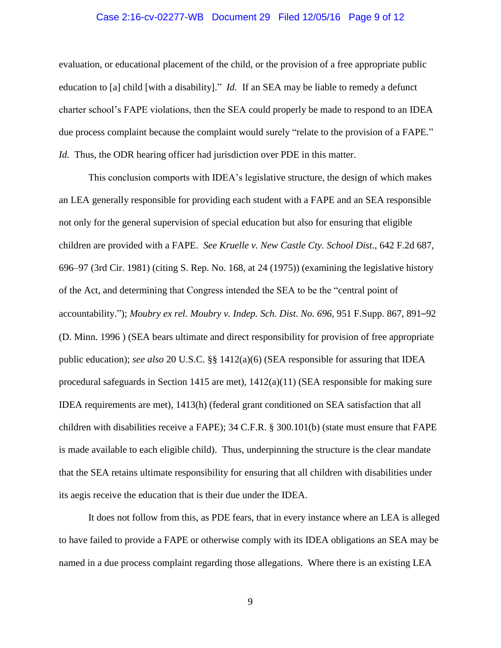## Case 2:16-cv-02277-WB Document 29 Filed 12/05/16 Page 9 of 12

evaluation, or educational placement of the child, or the provision of a free appropriate public education to [a] child [with a disability]." *Id.* If an SEA may be liable to remedy a defunct charter school's FAPE violations, then the SEA could properly be made to respond to an IDEA due process complaint because the complaint would surely "relate to the provision of a FAPE." *Id.* Thus, the ODR hearing officer had jurisdiction over PDE in this matter.

This conclusion comports with IDEA's legislative structure, the design of which makes an LEA generally responsible for providing each student with a FAPE and an SEA responsible not only for the general supervision of special education but also for ensuring that eligible children are provided with a FAPE. *See Kruelle v. New Castle Cty. School Dist*., 642 F.2d 687, 696–97 (3rd Cir. 1981) (citing S. Rep. No. 168, at 24 (1975)) (examining the legislative history of the Act, and determining that Congress intended the SEA to be the "central point of accountability."); *Moubry ex rel. Moubry v. Indep. Sch. Dist*. *No. 696*, 951 F.Supp. 867, 891–92 (D. Minn. 1996 ) (SEA bears ultimate and direct responsibility for provision of free appropriate public education); *see also* 20 U.S.C. §§ 1412(a)(6) (SEA responsible for assuring that IDEA procedural safeguards in Section 1415 are met), 1412(a)(11) (SEA responsible for making sure IDEA requirements are met), 1413(h) (federal grant conditioned on SEA satisfaction that all children with disabilities receive a FAPE); 34 C.F.R. § 300.101(b) (state must ensure that FAPE is made available to each eligible child). Thus, underpinning the structure is the clear mandate that the SEA retains ultimate responsibility for ensuring that all children with disabilities under its aegis receive the education that is their due under the IDEA.

It does not follow from this, as PDE fears, that in every instance where an LEA is alleged to have failed to provide a FAPE or otherwise comply with its IDEA obligations an SEA may be named in a due process complaint regarding those allegations. Where there is an existing LEA

9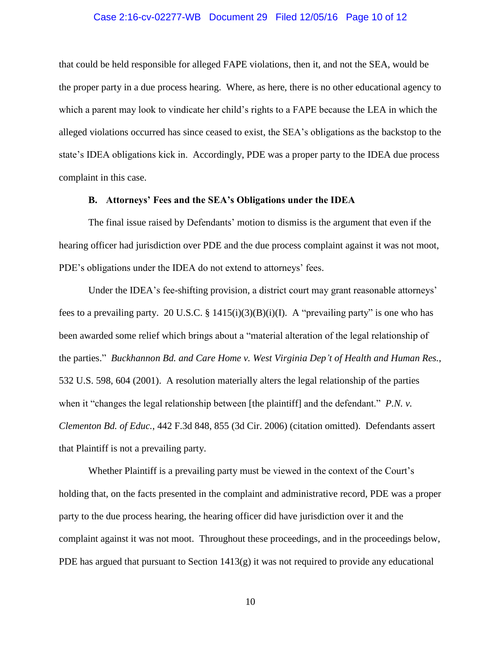## Case 2:16-cv-02277-WB Document 29 Filed 12/05/16 Page 10 of 12

that could be held responsible for alleged FAPE violations, then it, and not the SEA, would be the proper party in a due process hearing. Where, as here, there is no other educational agency to which a parent may look to vindicate her child's rights to a FAPE because the LEA in which the alleged violations occurred has since ceased to exist, the SEA's obligations as the backstop to the state's IDEA obligations kick in. Accordingly, PDE was a proper party to the IDEA due process complaint in this case.

## **B. Attorneys' Fees and the SEA's Obligations under the IDEA**

The final issue raised by Defendants' motion to dismiss is the argument that even if the hearing officer had jurisdiction over PDE and the due process complaint against it was not moot, PDE's obligations under the IDEA do not extend to attorneys' fees.

Under the IDEA's fee-shifting provision, a district court may grant reasonable attorneys' fees to a prevailing party. 20 U.S.C. § 1415(i)(3)(B)(i)(I). A "prevailing party" is one who has been awarded some relief which brings about a "material alteration of the legal relationship of the parties." *Buckhannon Bd. and Care Home v. West Virginia Dep't of Health and Human Res.*, 532 U.S. 598, 604 (2001). A resolution materially alters the legal relationship of the parties when it "changes the legal relationship between [the plaintiff] and the defendant." *P.N. v. Clementon Bd. of Educ.*, 442 F.3d 848, 855 (3d Cir. 2006) (citation omitted). Defendants assert that Plaintiff is not a prevailing party.

Whether Plaintiff is a prevailing party must be viewed in the context of the Court's holding that, on the facts presented in the complaint and administrative record, PDE was a proper party to the due process hearing, the hearing officer did have jurisdiction over it and the complaint against it was not moot. Throughout these proceedings, and in the proceedings below, PDE has argued that pursuant to Section  $1413(g)$  it was not required to provide any educational

10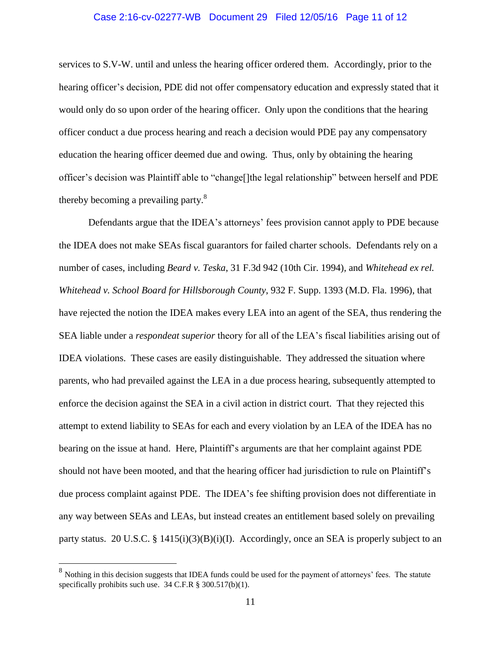# Case 2:16-cv-02277-WB Document 29 Filed 12/05/16 Page 11 of 12

services to S.V-W. until and unless the hearing officer ordered them. Accordingly, prior to the hearing officer's decision, PDE did not offer compensatory education and expressly stated that it would only do so upon order of the hearing officer. Only upon the conditions that the hearing officer conduct a due process hearing and reach a decision would PDE pay any compensatory education the hearing officer deemed due and owing. Thus, only by obtaining the hearing officer's decision was Plaintiff able to "change[]the legal relationship" between herself and PDE thereby becoming a prevailing party.<sup>8</sup>

Defendants argue that the IDEA's attorneys' fees provision cannot apply to PDE because the IDEA does not make SEAs fiscal guarantors for failed charter schools. Defendants rely on a number of cases, including *Beard v. Teska*, 31 F.3d 942 (10th Cir. 1994), and *Whitehead ex rel. Whitehead v. School Board for Hillsborough County*, 932 F. Supp. 1393 (M.D. Fla. 1996), that have rejected the notion the IDEA makes every LEA into an agent of the SEA, thus rendering the SEA liable under a *respondeat superior* theory for all of the LEA's fiscal liabilities arising out of IDEA violations. These cases are easily distinguishable. They addressed the situation where parents, who had prevailed against the LEA in a due process hearing, subsequently attempted to enforce the decision against the SEA in a civil action in district court. That they rejected this attempt to extend liability to SEAs for each and every violation by an LEA of the IDEA has no bearing on the issue at hand. Here, Plaintiff's arguments are that her complaint against PDE should not have been mooted, and that the hearing officer had jurisdiction to rule on Plaintiff's due process complaint against PDE. The IDEA's fee shifting provision does not differentiate in any way between SEAs and LEAs, but instead creates an entitlement based solely on prevailing party status. 20 U.S.C. § 1415(i)(3)(B)(i)(I). Accordingly, once an SEA is properly subject to an

 $8$  Nothing in this decision suggests that IDEA funds could be used for the payment of attorneys' fees. The statute specifically prohibits such use. 34 C.F.R § 300.517(b)(1).